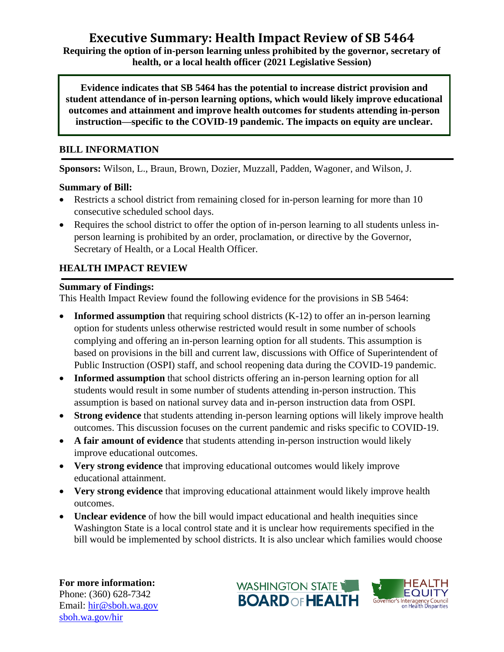# **Executive Summary: Health Impact Review of SB 5464**

**Requiring the option of in-person learning unless prohibited by the governor, secretary of health, or a local health officer (2021 Legislative Session)**

**Evidence indicates that SB 5464 has the potential to increase district provision and student attendance of in-person learning options, which would likely improve educational outcomes and attainment and improve health outcomes for students attending in-person instruction—specific to the COVID-19 pandemic. The impacts on equity are unclear.**

#### **BILL INFORMATION**

**Sponsors:** Wilson, L., Braun, Brown, Dozier, Muzzall, Padden, Wagoner, and Wilson, J.

#### **Summary of Bill:**

- Restricts a school district from remaining closed for in-person learning for more than 10 consecutive scheduled school days.
- Requires the school district to offer the option of in-person learning to all students unless inperson learning is prohibited by an order, proclamation, or directive by the Governor, Secretary of Health, or a Local Health Officer.

## **HEALTH IMPACT REVIEW**

#### **Summary of Findings:**

This Health Impact Review found the following evidence for the provisions in SB 5464:

- **Informed assumption** that requiring school districts (K-12) to offer an in-person learning option for students unless otherwise restricted would result in some number of schools complying and offering an in-person learning option for all students. This assumption is based on provisions in the bill and current law, discussions with Office of Superintendent of Public Instruction (OSPI) staff, and school reopening data during the COVID-19 pandemic.
- **Informed assumption** that school districts offering an in-person learning option for all students would result in some number of students attending in-person instruction. This assumption is based on national survey data and in-person instruction data from OSPI.
- **Strong evidence** that students attending in-person learning options will likely improve health outcomes. This discussion focuses on the current pandemic and risks specific to COVID-19.
- **A fair amount of evidence** that students attending in-person instruction would likely improve educational outcomes.
- **Very strong evidence** that improving educational outcomes would likely improve educational attainment.
- **Very strong evidence** that improving educational attainment would likely improve health outcomes.
- **Unclear evidence** of how the bill would impact educational and health inequities since Washington State is a local control state and it is unclear how requirements specified in the bill would be implemented by school districts. It is also unclear which families would choose

**For more information:** Phone: (360) 628-7342 Email: [hir@sboh.wa.gov](mailto:hir@sboh.wa.gov) [sboh.wa.gov/](http://sboh.wa.gov/)hir